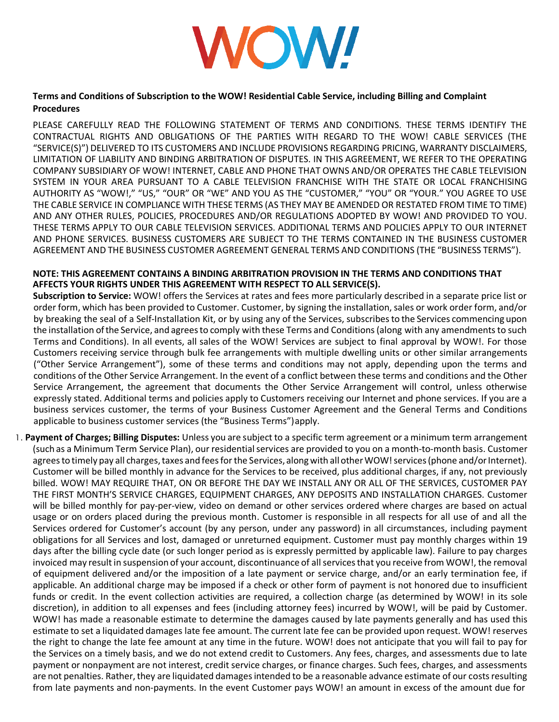

## **Terms and Conditions of Subscription to the WOW! Residential Cable Service, including Billing and Complaint Procedures**

PLEASE CAREFULLY READ THE FOLLOWING STATEMENT OF TERMS AND CONDITIONS. THESE TERMS IDENTIFY THE CONTRACTUAL RIGHTS AND OBLIGATIONS OF THE PARTIES WITH REGARD TO THE WOW! CABLE SERVICES (THE "SERVICE(S)") DELIVERED TO ITS CUSTOMERS AND INCLUDE PROVISIONS REGARDING PRICING, WARRANTY DISCLAIMERS, LIMITATION OF LIABILITY AND BINDING ARBITRATION OF DISPUTES. IN THIS AGREEMENT, WE REFER TO THE OPERATING COMPANY SUBSIDIARY OF WOW! INTERNET, CABLE AND PHONE THAT OWNS AND/OR OPERATES THE CABLE TELEVISION SYSTEM IN YOUR AREA PURSUANT TO A CABLE TELEVISION FRANCHISE WITH THE STATE OR LOCAL FRANCHISING AUTHORITY AS "WOW!," "US," "OUR" OR "WE" AND YOU AS THE "CUSTOMER," "YOU" OR "YOUR." YOU AGREE TO USE THE CABLE SERVICE IN COMPLIANCE WITH THESE TERMS (AS THEY MAY BE AMENDED OR RESTATED FROM TIME TO TIME) AND ANY OTHER RULES, POLICIES, PROCEDURES AND/OR REGULATIONS ADOPTED BY WOW! AND PROVIDED TO YOU. THESE TERMS APPLY TO OUR CABLE TELEVISION SERVICES. ADDITIONAL TERMS AND POLICIES APPLY TO OUR INTERNET AND PHONE SERVICES. BUSINESS CUSTOMERS ARE SUBJECT TO THE TERMS CONTAINED IN THE BUSINESS CUSTOMER AGREEMENT AND THE BUSINESS CUSTOMER AGREEMENT GENERAL TERMS AND CONDITIONS (THE "BUSINESS TERMS").

## **NOTE: THIS AGREEMENT CONTAINS A BINDING ARBITRATION PROVISION IN THE TERMS AND CONDITIONS THAT AFFECTS YOUR RIGHTS UNDER THIS AGREEMENT WITH RESPECT TO ALL SERVICE(S).**

**Subscription to Service:** WOW! offers the Services at rates and fees more particularly described in a separate price list or order form, which has been provided to Customer. Customer, by signing the installation, sales or work order form, and/or by breaking the seal of a Self-Installation Kit, or by using any of the Services, subscribesto the Services commencing upon the installation of the Service, and agrees to comply with these Terms and Conditions (along with any amendments to such Terms and Conditions). In all events, all sales of the WOW! Services are subject to final approval by WOW!. For those Customers receiving service through bulk fee arrangements with multiple dwelling units or other similar arrangements ("Other Service Arrangement"), some of these terms and conditions may not apply, depending upon the terms and conditions of the Other Service Arrangement. In the event of a conflict between these terms and conditions and the Other Service Arrangement, the agreement that documents the Other Service Arrangement will control, unless otherwise expressly stated. Additional terms and policies apply to Customers receiving our Internet and phone services. If you are a business services customer, the terms of your Business Customer Agreement and the General Terms and Conditions applicable to business customer services (the "Business Terms")apply.

1. **Payment of Charges; Billing Disputes:** Unless you are subject to a specific term agreement or a minimum term arrangement (such as a Minimum Term Service Plan), our residentialservices are provided to you on a month-to-month basis. Customer agrees to timely pay all charges, taxes and fees for the Services, along with all other WOW! services (phone and/or Internet). Customer will be billed monthly in advance for the Services to be received, plus additional charges, if any, not previously billed. WOW! MAY REQUIRE THAT, ON OR BEFORE THE DAY WE INSTALL ANY OR ALL OF THE SERVICES, CUSTOMER PAY THE FIRST MONTH'S SERVICE CHARGES, EQUIPMENT CHARGES, ANY DEPOSITS AND INSTALLATION CHARGES. Customer will be billed monthly for pay-per-view, video on demand or other services ordered where charges are based on actual usage or on orders placed during the previous month. Customer is responsible in all respects for all use of and all the Services ordered for Customer's account (by any person, under any password) in all circumstances, including payment obligations for all Services and lost, damaged or unreturned equipment. Customer must pay monthly charges within 19 days after the billing cycle date (or such longer period as is expressly permitted by applicable law). Failure to pay charges invoiced may result in suspension of your account, discontinuance of all services that you receive from WOW!, the removal of equipment delivered and/or the imposition of a late payment or service charge, and/or an early termination fee, if applicable. An additional charge may be imposed if a check or other form of payment is not honored due to insufficient funds or credit. In the event collection activities are required, a collection charge (as determined by WOW! in its sole discretion), in addition to all expenses and fees (including attorney fees) incurred by WOW!, will be paid by Customer. WOW! has made a reasonable estimate to determine the damages caused by late payments generally and has used this estimate to set a liquidated damages late fee amount. The current late fee can be provided upon request. WOW! reserves the right to change the late fee amount at any time in the future. WOW! does not anticipate that you will fail to pay for the Services on a timely basis, and we do not extend credit to Customers. Any fees, charges, and assessments due to late payment or nonpayment are not interest, credit service charges, or finance charges. Such fees, charges, and assessments are not penalties. Rather, they are liquidated damages intended to be a reasonable advance estimate of our costs resulting from late payments and non-payments. In the event Customer pays WOW! an amount in excess of the amount due for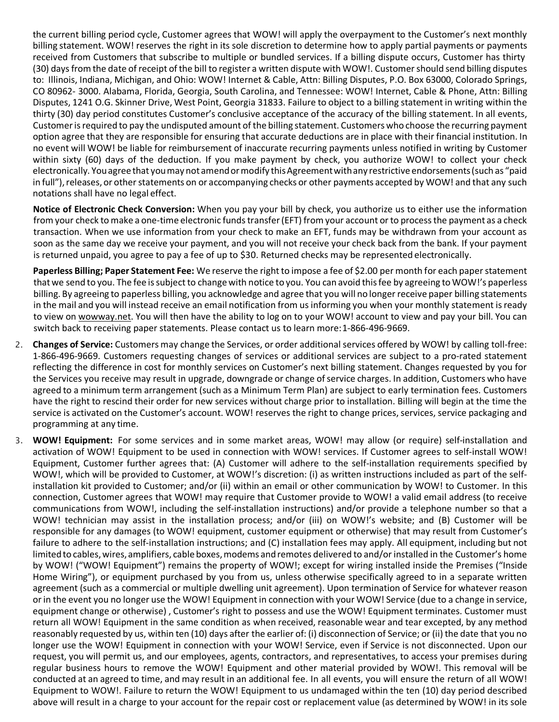the current billing period cycle, Customer agrees that WOW! will apply the overpayment to the Customer's next monthly billing statement. WOW! reserves the right in its sole discretion to determine how to apply partial payments or payments received from Customers that subscribe to multiple or bundled services. If a billing dispute occurs, Customer has thirty (30) days from the date of receipt of the bill to register a written dispute with WOW!. Customer should send billing disputes to: Illinois, Indiana, Michigan, and Ohio: WOW! Internet & Cable, Attn: Billing Disputes, P.O. Box 63000, Colorado Springs, CO 80962- 3000. Alabama, Florida, Georgia, South Carolina, and Tennessee: WOW! Internet, Cable & Phone, Attn: Billing Disputes, 1241 O.G. Skinner Drive, West Point, Georgia 31833. Failure to object to a billing statement in writing within the thirty (30) day period constitutes Customer's conclusive acceptance of the accuracy of the billing statement. In all events, Customer is required to pay the undisputed amount of the billing statement. Customers who choose the recurring payment option agree that they are responsible for ensuring that accurate deductions are in place with their financial institution. In no event will WOW! be liable for reimbursement of inaccurate recurring payments unless notified in writing by Customer within sixty (60) days of the deduction. If you make payment by check, you authorize WOW! to collect your check electronically. You agree that you may not amend or modify this Agreement with any restrictive endorsements (such as "paid in full"), releases, or other statements on or accompanying checks or other payments accepted by WOW! and that any such notations shall have no legal effect.

**Notice of Electronic Check Conversion:** When you pay your bill by check, you authorize us to either use the information from your check to make a one-time electronic funds transfer (EFT) from your account or to process the payment as a check transaction. When we use information from your check to make an EFT, funds may be withdrawn from your account as soon as the same day we receive your payment, and you will not receive your check back from the bank. If your payment is returned unpaid, you agree to pay a fee of up to \$30. Returned checks may be represented electronically.

Paperless Billing; Paper Statement Fee: We reserve the right to impose a fee of \$2.00 per month for each paper statement that we send to you. The fee is subject to change with notice to you. You can avoid this fee by agreeing to WOW!'s paperless billing. By agreeing to paperless billing, you acknowledge and agree that you will no longerreceive paper billing statements in the mail and you will instead receive an email notification from us informing you when your monthly statement is ready to view on wowway.net. You will then have the ability to log on to your WOW! account to view and pay your bill. You can switch back to receiving paper statements. Please contact us to learn more:1-866-496-9669.

- 2. **Changes of Service:** Customers may change the Services, or order additional services offered by WOW! by calling toll-free: 1-866-496-9669. Customers requesting changes of services or additional services are subject to a pro-rated statement reflecting the difference in cost for monthly services on Customer's next billing statement. Changes requested by you for the Services you receive may result in upgrade, downgrade or change of service charges. In addition, Customers who have agreed to a minimum term arrangement (such as a Minimum Term Plan) are subject to early termination fees. Customers have the right to rescind their order for new services without charge prior to installation. Billing will begin at the time the service is activated on the Customer's account. WOW! reserves the right to change prices, services, service packaging and programming at any time.
- 3. **WOW! Equipment:** For some services and in some market areas, WOW! may allow (or require) self-installation and activation of WOW! Equipment to be used in connection with WOW! services. If Customer agrees to self-install WOW! Equipment, Customer further agrees that: (A) Customer will adhere to the self-installation requirements specified by WOW!, which will be provided to Customer, at WOW!'s discretion: (i) as written instructions included as part of the selfinstallation kit provided to Customer; and/or (ii) within an email or other communication by WOW! to Customer. In this connection, Customer agrees that WOW! may require that Customer provide to WOW! a valid email address (to receive communications from WOW!, including the self-installation instructions) and/or provide a telephone number so that a WOW! technician may assist in the installation process; and/or (iii) on WOW!'s website; and (B) Customer will be responsible for any damages (to WOW! equipment, customer equipment or otherwise) that may result from Customer's failure to adhere to the self-installation instructions; and (C) installation fees may apply. All equipment, including but not limited to cables, wires, amplifiers, cable boxes, modems and remotes delivered to and/or installed in the Customer's home by WOW! ("WOW! Equipment") remains the property of WOW!; except for wiring installed inside the Premises ("Inside Home Wiring"), or equipment purchased by you from us, unless otherwise specifically agreed to in a separate written agreement (such as a commercial or multiple dwelling unit agreement). Upon termination of Service for whatever reason or in the event you no longer use the WOW! Equipment in connection with your WOW! Service (due to a change in service, equipment change or otherwise) , Customer's right to possess and use the WOW! Equipment terminates. Customer must return all WOW! Equipment in the same condition as when received, reasonable wear and tear excepted, by any method reasonably requested by us, within ten (10) days after the earlier of: (i) disconnection of Service; or (ii) the date that you no longer use the WOW! Equipment in connection with your WOW! Service, even if Service is not disconnected. Upon our request, you will permit us, and our employees, agents, contractors, and representatives, to access your premises during regular business hours to remove the WOW! Equipment and other material provided by WOW!. This removal will be conducted at an agreed to time, and may result in an additional fee. In all events, you will ensure the return of all WOW! Equipment to WOW!. Failure to return the WOW! Equipment to us undamaged within the ten (10) day period described above will result in a charge to your account for the repair cost or replacement value (as determined by WOW! in its sole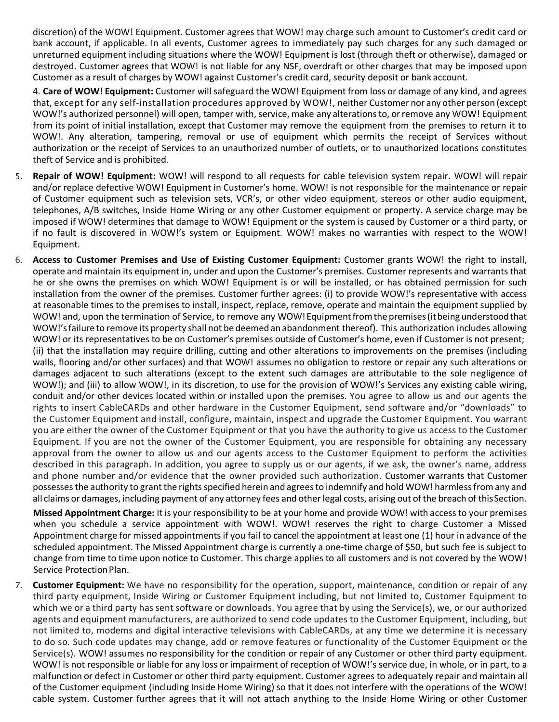discretion) of the WOW! Equipment. Customer agrees that WOW! may charge such amount to Customer's credit card or bank account, if applicable. In all events, Customer agrees to immediately pay such charges for any such damaged or unreturned equipment including situations where the WOW! Equipment is lost (through theft or otherwise), damaged or destroyed. Customer agrees that WOW! is not liable for any NSF, overdraft or other charges that may be imposed upon Customer as a result of charges by WOW! against Customer's credit card, security deposit or bank account.

4. **Care of WOW! Equipment:** Customer will safeguard the WOW! Equipment from loss or damage of any kind, and agrees that, except for any self-installation procedures approved by WOW!, neither Customer nor any other person (except WOW!'s authorized personnel) will open, tamper with, service, make any alterationsto, orremove any WOW! Equipment from its point of initial installation, except that Customer may remove the equipment from the premises to return it to WOW!. Any alteration, tampering, removal or use of equipment which permits the receipt of Services without authorization or the receipt of Services to an unauthorized number of outlets, or to unauthorized locations constitutes theft of Service and is prohibited.

- 5. **Repair of WOW! Equipment:** WOW! will respond to all requests for cable television system repair. WOW! will repair and/or replace defective WOW! Equipment in Customer's home. WOW! is not responsible for the maintenance or repair of Customer equipment such as television sets, VCR's, or other video equipment, stereos or other audio equipment, telephones, A/B switches, Inside Home Wiring or any other Customer equipment or property. A service charge may be imposed if WOW! determines that damage to WOW! Equipment or the system is caused by Customer or a third party, or if no fault is discovered in WOW!'s system or Equipment. WOW! makes no warranties with respect to the WOW! Equipment.
- 6. **Access to Customer Premises and Use of Existing Customer Equipment:** Customer grants WOW! the right to install, operate and maintain its equipment in, under and upon the Customer's premises. Customer represents and warrants that he or she owns the premises on which WOW! Equipment is or will be installed, or has obtained permission for such installation from the owner of the premises. Customer further agrees: (i) to provide WOW!'s representative with access at reasonable times to the premises to install, inspect, replace, remove, operate and maintain the equipment supplied by WOW! and, upon the termination of Service, to remove any WOW!Equipmentfromthe premises(itbeing understoodthat WOW!'s failure to remove its property shall not be deemed an abandonment thereof). This authorization includes allowing WOW! or its representatives to be on Customer's premises outside of Customer's home, even if Customer is not present; (ii) that the installation may require drilling, cutting and other alterations to improvements on the premises (including walls, flooring and/or other surfaces) and that WOW! assumes no obligation to restore or repair any such alterations or damages adjacent to such alterations (except to the extent such damages are attributable to the sole negligence of WOW!); and (iii) to allow WOW!, in its discretion, to use for the provision of WOW!'s Services any existing cable wiring, conduit and/or other devices located within or installed upon the premises. You agree to allow us and our agents the rights to insert CableCARDs and other hardware in the Customer Equipment, send software and/or "downloads" to the Customer Equipment and install, configure, maintain, inspect and upgrade the Customer Equipment. You warrant you are either the owner of the Customer Equipment or that you have the authority to give us access to the Customer Equipment. If you are not the owner of the Customer Equipment, you are responsible for obtaining any necessary approval from the owner to allow us and our agents access to the Customer Equipment to perform the activities described in this paragraph. In addition, you agree to supply us or our agents, if we ask, the owner's name, address and phone number and/or evidence that the owner provided such authorization. Customer warrants that Customer possesses the authority to grant the rights specified herein and agrees to indemnify and hold WOW! harmless from any and all claims or damages, including payment of any attorney fees and other legal costs, arising out of the breach of thisSection.

**Missed Appointment Charge:** It is your responsibility to be at your home and provide WOW! with access to your premises when you schedule a service appointment with WOW!. WOW! reserves the right to charge Customer a Missed Appointment charge for missed appointments if you fail to cancel the appointment at least one (1) hour in advance of the scheduled appointment. The Missed Appointment charge is currently a one-time charge of \$50, but such fee is subject to change from time to time upon notice to Customer. This charge applies to all customers and is not covered by the WOW! Service Protection Plan.

7. **Customer Equipment:** We have no responsibility for the operation, support, maintenance, condition or repair of any third party equipment, Inside Wiring or Customer Equipment including, but not limited to, Customer Equipment to which we or a third party has sent software or downloads. You agree that by using the Service(s), we, or our authorized agents and equipment manufacturers, are authorized to send code updates to the Customer Equipment, including, but not limited to, modems and digital interactive televisions with CableCARDs, at any time we determine it is necessary to do so. Such code updates may change, add or remove features or functionality of the Customer Equipment or the Service(s). WOW! assumes no responsibility for the condition or repair of any Customer or other third party equipment. WOW! is not responsible or liable for any loss or impairment of reception of WOW!'s service due, in whole, or in part, to a malfunction or defect in Customer or other third party equipment. Customer agrees to adequately repair and maintain all of the Customer equipment (including Inside Home Wiring) so that it does not interfere with the operations of the WOW! cable system. Customer further agrees that it will not attach anything to the Inside Home Wiring or other Customer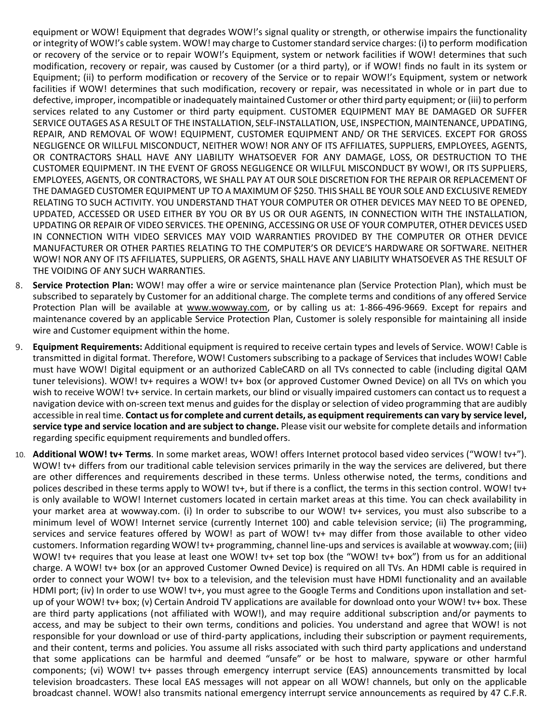equipment or WOW! Equipment that degrades WOW!'s signal quality or strength, or otherwise impairs the functionality orintegrity of WOW!'s cable system. WOW! may charge to Customerstandard service charges: (i) to perform modification or recovery of the service or to repair WOW!'s Equipment, system or network facilities if WOW! determines that such modification, recovery or repair, was caused by Customer (or a third party), or if WOW! finds no fault in its system or Equipment; (ii) to perform modification or recovery of the Service or to repair WOW!'s Equipment, system or network facilities if WOW! determines that such modification, recovery or repair, was necessitated in whole or in part due to defective, improper, incompatible or inadequately maintained Customer or other third party equipment; or (iii) to perform services related to any Customer or third party equipment. CUSTOMER EQUIPMENT MAY BE DAMAGED OR SUFFER SERVICE OUTAGES AS A RESULT OF THE INSTALLATION, SELF-INSTALLATION, USE, INSPECTION, MAINTENANCE, UPDATING, REPAIR, AND REMOVAL OF WOW! EQUIPMENT, CUSTOMER EQUIPMENT AND/ OR THE SERVICES. EXCEPT FOR GROSS NEGLIGENCE OR WILLFUL MISCONDUCT, NEITHER WOW! NOR ANY OF ITS AFFILIATES, SUPPLIERS, EMPLOYEES, AGENTS, OR CONTRACTORS SHALL HAVE ANY LIABILITY WHATSOEVER FOR ANY DAMAGE, LOSS, OR DESTRUCTION TO THE CUSTOMER EQUIPMENT. IN THE EVENT OF GROSS NEGLIGENCE OR WILLFUL MISCONDUCT BY WOW!, OR ITS SUPPLIERS, EMPLOYEES, AGENTS, OR CONTRACTORS, WE SHALL PAY AT OUR SOLE DISCRETION FOR THE REPAIR OR REPLACEMENT OF THE DAMAGED CUSTOMER EQUIPMENT UP TO A MAXIMUM OF \$250. THIS SHALL BE YOUR SOLE AND EXCLUSIVE REMEDY RELATING TO SUCH ACTIVITY. YOU UNDERSTAND THAT YOUR COMPUTER OR OTHER DEVICES MAY NEED TO BE OPENED, UPDATED, ACCESSED OR USED EITHER BY YOU OR BY US OR OUR AGENTS, IN CONNECTION WITH THE INSTALLATION, UPDATING OR REPAIR OF VIDEO SERVICES. THE OPENING, ACCESSING OR USE OF YOUR COMPUTER, OTHER DEVICES USED IN CONNECTION WITH VIDEO SERVICES MAY VOID WARRANTIES PROVIDED BY THE COMPUTER OR OTHER DEVICE MANUFACTURER OR OTHER PARTIES RELATING TO THE COMPUTER'S OR DEVICE'S HARDWARE OR SOFTWARE. NEITHER WOW! NOR ANY OF ITS AFFILIATES, SUPPLIERS, OR AGENTS, SHALL HAVE ANY LIABILITY WHATSOEVER AS THE RESULT OF THE VOIDING OF ANY SUCH WARRANTIES.

- 8. **Service Protection Plan:** WOW! may offer a wire or service maintenance plan (Service Protection Plan), which must be subscribed to separately by Customer for an additional charge. The complete terms and conditions of any offered Service Protection Plan will be available at [www.wowway.com,](http://www.wowway.com/) or by calling us at: 1-866-496-9669. Except for repairs and maintenance covered by an applicable Service Protection Plan, Customer is solely responsible for maintaining all inside wire and Customer equipment within the home.
- 9. **Equipment Requirements:** Additional equipment is required to receive certain types and levels of Service. WOW! Cable is transmitted in digital format. Therefore, WOW! Customers subscribing to a package of Services that includes WOW! Cable must have WOW! Digital equipment or an authorized CableCARD on all TVs connected to cable (including digital QAM tuner televisions). WOW! tv+ requires a WOW! tv+ box (or approved Customer Owned Device) on all TVs on which you wish to receive WOW! tv+ service. In certain markets, our blind or visually impaired customers can contact us to request a navigation device with on-screen text menus and guides for the display orselection of video programming that are audibly accessible in real time. **Contact usfor complete and current details, as equipment requirements can vary by service level, service type and service location and are subject to change.** Please visit our website for complete details and information regarding specific equipment requirements and bundledoffers.
- 10. **Additional WOW! tv+ Terms**. In some market areas, WOW! offers Internet protocol based video services ("WOW! tv+"). WOW! tv+ differs from our traditional cable television services primarily in the way the services are delivered, but there are other differences and requirements described in these terms. Unless otherwise noted, the terms, conditions and polices described in these terms apply to WOW! tv+, but if there is a conflict, the terms in this section control. WOW! tv+ is only available to WOW! Internet customers located in certain market areas at this time. You can check availability in your market area at wowway.com. (i) In order to subscribe to our WOW! tv+ services, you must also subscribe to a minimum level of WOW! Internet service (currently Internet 100) and cable television service; (ii) The programming, services and service features offered by WOW! as part of WOW! tv+ may differ from those available to other video customers. Information regarding WOW! tv+ programming, channel line-ups and services is available at wowway.com; (iii) WOW! tv+ requires that you lease at least one WOW! tv+ set top box (the "WOW! tv+ box") from us for an additional charge. A WOW! tv+ box (or an approved Customer Owned Device) is required on all TVs. An HDMI cable is required in order to connect your WOW! tv+ box to a television, and the television must have HDMI functionality and an available HDMI port; (iv) In order to use WOW! tv+, you must agree to the Google Terms and Conditions upon installation and setup of your WOW! tv+ box; (v) Certain Android TV applications are available for download onto your WOW! tv+ box. These are third party applications (not affiliated with WOW!), and may require additional subscription and/or payments to access, and may be subject to their own terms, conditions and policies. You understand and agree that WOW! is not responsible for your download or use of third-party applications, including their subscription or payment requirements, and their content, terms and policies. You assume all risks associated with such third party applications and understand that some applications can be harmful and deemed "unsafe" or be host to malware, spyware or other harmful components; (vi) WOW! tv+ passes through emergency interrupt service (EAS) announcements transmitted by local television broadcasters. These local EAS messages will not appear on all WOW! channels, but only on the applicable broadcast channel. WOW! also transmits national emergency interrupt service announcements as required by 47 C.F.R.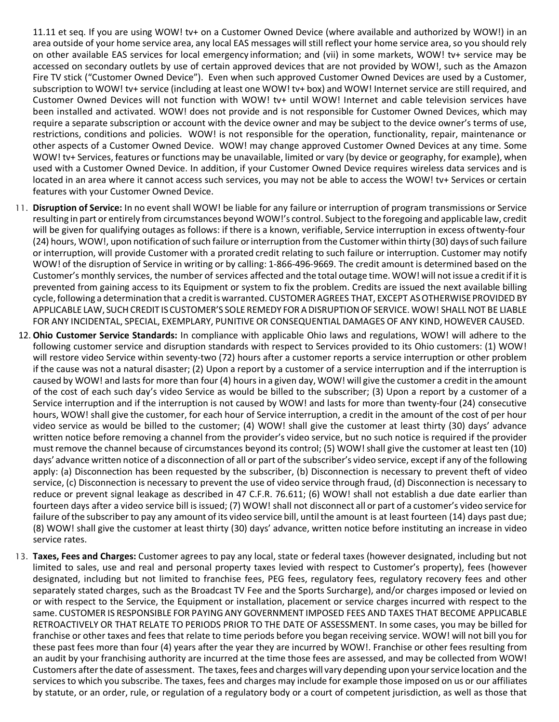11.11 et seq. If you are using WOW! tv+ on a Customer Owned Device (where available and authorized by WOW!) in an area outside of your home service area, any local EAS messages will still reflect your home service area, so you should rely on other available EAS services for local emergency information; and (vii) in some markets, WOW! tv+ service may be accessed on secondary outlets by use of certain approved devices that are not provided by WOW!, such as the Amazon Fire TV stick ("Customer Owned Device"). Even when such approved Customer Owned Devices are used by a Customer, subscription to WOW! tv+ service (including at least one WOW! tv+ box) and WOW! Internet service are still required, and Customer Owned Devices will not function with WOW! tv+ until WOW! Internet and cable television services have been installed and activated. WOW! does not provide and is not responsible for Customer Owned Devices, which may require a separate subscription or account with the device owner and may be subject to the device owner's terms of use, restrictions, conditions and policies. WOW! is not responsible for the operation, functionality, repair, maintenance or other aspects of a Customer Owned Device. WOW! may change approved Customer Owned Devices at any time. Some WOW! tv+ Services, features or functions may be unavailable, limited or vary (by device or geography, for example), when used with a Customer Owned Device. In addition, if your Customer Owned Device requires wireless data services and is located in an area where it cannot access such services, you may not be able to access the WOW! tv+ Services or certain features with your Customer Owned Device.

- 11. **Disruption of Service:** In no event shall WOW! be liable for any failure or interruption of program transmissions or Service resulting in part or entirely from circumstances beyond WOW!'s control. Subject to the foregoing and applicable law, credit will be given for qualifying outages as follows: if there is a known, verifiable, Service interruption in excess oftwenty-four (24) hours, WOW!, upon notification of such failure or interruption from the Customer within thirty (30) days of such failure or interruption, will provide Customer with a prorated credit relating to such failure or interruption. Customer may notify WOW! of the disruption of Service in writing or by calling: 1-866-496-9669. The credit amount is determined based on the Customer's monthly services, the number of services affected and the total outage time. WOW! will notissue a creditifitis prevented from gaining access to its Equipment or system to fix the problem. Credits are issued the next available billing cycle, following a determination that a credit is warranted. CUSTOMER AGREES THAT, EXCEPT AS OTHERWISE PROVIDED BY APPLICABLE LAW, SUCH CREDIT IS CUSTOMER'S SOLE REMEDY FOR A DISRUPTION OF SERVICE. WOW! SHALL NOT BE LIABLE FOR ANY INCIDENTAL, SPECIAL, EXEMPLARY, PUNITIVE OR CONSEQUENTIAL DAMAGES OF ANY KIND, HOWEVER CAUSED.
- 12. **Ohio Customer Service Standards:** In compliance with applicable Ohio laws and regulations, WOW! will adhere to the following customer service and disruption standards with respect to Services provided to its Ohio customers: (1) WOW! will restore video Service within seventy-two (72) hours after a customer reports a service interruption or other problem if the cause was not a natural disaster; (2) Upon a report by a customer of a service interruption and if the interruption is caused by WOW! and lasts for more than four (4) hours in a given day, WOW! will give the customer a creditin the amount of the cost of each such day's video Service as would be billed to the subscriber; (3) Upon a report by a customer of a Service interruption and if the interruption is not caused by WOW! and lasts for more than twenty-four (24) consecutive hours, WOW! shall give the customer, for each hour of Service interruption, a credit in the amount of the cost of per hour video service as would be billed to the customer; (4) WOW! shall give the customer at least thirty (30) days' advance written notice before removing a channel from the provider's video service, but no such notice is required if the provider must remove the channel because of circumstances beyond its control; (5) WOW! shall give the customer at least ten (10) days' advance written notice of a disconnection of all or part of the subscriber's video service, exceptif any of the following apply: (a) Disconnection has been requested by the subscriber, (b) Disconnection is necessary to prevent theft of video service, (c) Disconnection is necessary to prevent the use of video service through fraud, (d) Disconnection is necessary to reduce or prevent signal leakage as described in 47 C.F.R. 76.611; (6) WOW! shall not establish a due date earlier than fourteen days after a video service bill is issued; (7) WOW! shall not disconnect all or part of a customer's video service for failure of the subscriber to pay any amount of its video service bill, until the amount is at least fourteen (14) days past due; (8) WOW! shall give the customer at least thirty (30) days' advance, written notice before instituting an increase in video service rates.
- 13. **Taxes, Fees and Charges:** Customer agrees to pay any local, state or federal taxes (however designated, including but not limited to sales, use and real and personal property taxes levied with respect to Customer's property), fees (however designated, including but not limited to franchise fees, PEG fees, regulatory fees, regulatory recovery fees and other separately stated charges, such as the Broadcast TV Fee and the Sports Surcharge), and/or charges imposed or levied on or with respect to the Service, the Equipment or installation, placement or service charges incurred with respect to the same. CUSTOMER IS RESPONSIBLE FOR PAYINGANY GOVERNMENT IMPOSED FEES AND TAXES THAT BECOME APPLICABLE RETROACTIVELY OR THAT RELATE TO PERIODS PRIOR TO THE DATE OF ASSESSMENT. In some cases, you may be billed for franchise or other taxes and fees that relate to time periods before you began receiving service. WOW! will not bill you for these past fees more than four (4) years after the year they are incurred by WOW!. Franchise or other fees resulting from an audit by your franchising authority are incurred at the time those fees are assessed, and may be collected from WOW! Customers after the date of assessment. The taxes, fees and charges will vary depending upon your service location and the services to which you subscribe. The taxes, fees and charges may include for example those imposed on us or our affiliates by statute, or an order, rule, or regulation of a regulatory body or a court of competent jurisdiction, as well as those that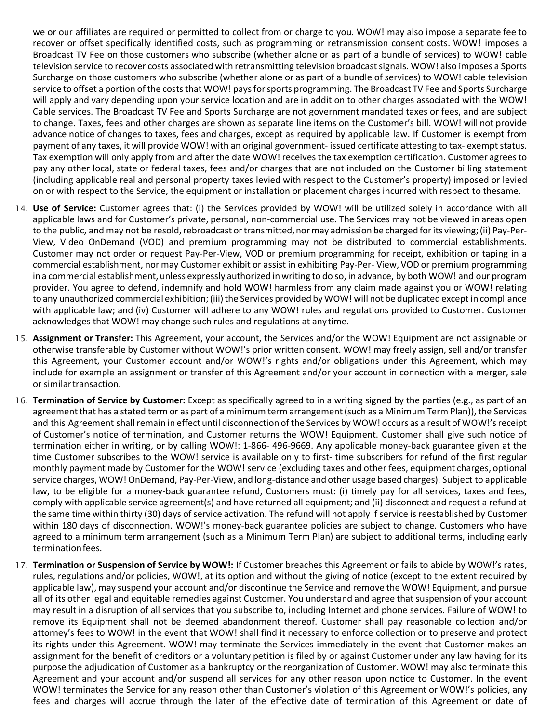we or our affiliates are required or permitted to collect from or charge to you. WOW! may also impose a separate fee to recover or offset specifically identified costs, such as programming or retransmission consent costs. WOW! imposes a Broadcast TV Fee on those customers who subscribe (whether alone or as part of a bundle of services) to WOW! cable television service to recover costs associated with retransmitting television broadcast signals. WOW! also imposes a Sports Surcharge on those customers who subscribe (whether alone or as part of a bundle of services) to WOW! cable television service to offset a portion of the costs that WOW! pays for sports programming. The Broadcast TV Fee and Sports Surcharge will apply and vary depending upon your service location and are in addition to other charges associated with the WOW! Cable services. The Broadcast TV Fee and Sports Surcharge are not government mandated taxes or fees, and are subject to change. Taxes, fees and other charges are shown as separate line items on the Customer's bill. WOW! will not provide advance notice of changes to taxes, fees and charges, except as required by applicable law. If Customer is exempt from payment of any taxes, it will provide WOW! with an original government- issued certificate attesting to tax- exempt status. Tax exemption will only apply from and after the date WOW! receives the tax exemption certification. Customer agreesto pay any other local, state or federal taxes, fees and/or charges that are not included on the Customer billing statement (including applicable real and personal property taxes levied with respect to the Customer's property) imposed or levied on or with respect to the Service, the equipment or installation or placement charges incurred with respect to thesame.

- 14. **Use of Service:** Customer agrees that: (i) the Services provided by WOW! will be utilized solely in accordance with all applicable laws and for Customer's private, personal, non-commercial use. The Services may not be viewed in areas open to the public, and may not be resold, rebroadcast or transmitted, nor may admission be charged for its viewing; (ii) Pay-Per-View, Video OnDemand (VOD) and premium programming may not be distributed to commercial establishments. Customer may not order or request Pay-Per-View, VOD or premium programming for receipt, exhibition or taping in a commercial establishment, nor may Customer exhibit or assist in exhibiting Pay-Per- View, VOD or premium programming ina commercial establishment, unless expressly authorized in writing to do so, in advance, by both WOW! and our program provider. You agree to defend, indemnify and hold WOW! harmless from any claim made against you or WOW! relating to any unauthorized commercial exhibition; (iii) the Services provided by WOW! will not be duplicated except in compliance with applicable law; and (iv) Customer will adhere to any WOW! rules and regulations provided to Customer. Customer acknowledges that WOW! may change such rules and regulations at anytime.
- 15. **Assignment or Transfer:** This Agreement, your account, the Services and/or the WOW! Equipment are not assignable or otherwise transferable by Customer without WOW!'s prior written consent. WOW! may freely assign, sell and/or transfer this Agreement, your Customer account and/or WOW!'s rights and/or obligations under this Agreement, which may include for example an assignment or transfer of this Agreement and/or your account in connection with a merger, sale or similartransaction.
- 16. **Termination of Service by Customer:** Except as specifically agreed to in a writing signed by the parties (e.g., as part of an agreement that has a stated term or as part of a minimum term arrangement (such as a Minimum Term Plan)), the Services and this Agreement shall remain in effect until disconnection of the Services by WOW! occurs as a result of WOW!'s receipt of Customer's notice of termination, and Customer returns the WOW! Equipment. Customer shall give such notice of termination either in writing, or by calling WOW!: 1-866- 496-9669. Any applicable money-back guarantee given at the time Customer subscribes to the WOW! service is available only to first- time subscribers for refund of the first regular monthly payment made by Customer for the WOW! service (excluding taxes and other fees, equipment charges, optional service charges, WOW! OnDemand, Pay-Per-View, and long-distance and other usage based charges). Subject to applicable law, to be eligible for a money-back guarantee refund, Customers must: (i) timely pay for all services, taxes and fees, comply with applicable service agreement(s) and have returned all equipment; and (ii) disconnect and request a refund at the same time within thirty (30) days of service activation. The refund will not apply if service is reestablished by Customer within 180 days of disconnection. WOW!'s money-back guarantee policies are subject to change. Customers who have agreed to a minimum term arrangement (such as a Minimum Term Plan) are subject to additional terms, including early terminationfees.
- 17. **Termination or Suspension of Service by WOW!:** If Customer breaches this Agreement or fails to abide by WOW!'s rates, rules, regulations and/or policies, WOW!, at its option and without the giving of notice (except to the extent required by applicable law), may suspend your account and/or discontinue the Service and remove the WOW! Equipment, and pursue all of its other legal and equitable remedies against Customer. You understand and agree that suspension of your account may result in a disruption of all services that you subscribe to, including Internet and phone services. Failure of WOW! to remove its Equipment shall not be deemed abandonment thereof. Customer shall pay reasonable collection and/or attorney's fees to WOW! in the event that WOW! shall find it necessary to enforce collection or to preserve and protect its rights under this Agreement. WOW! may terminate the Services immediately in the event that Customer makes an assignment for the benefit of creditors or a voluntary petition is filed by or against Customer under any law having for its purpose the adjudication of Customer as a bankruptcy or the reorganization of Customer. WOW! may also terminate this Agreement and your account and/or suspend all services for any other reason upon notice to Customer. In the event WOW! terminates the Service for any reason other than Customer's violation of this Agreement or WOW!'s policies, any fees and charges will accrue through the later of the effective date of termination of this Agreement or date of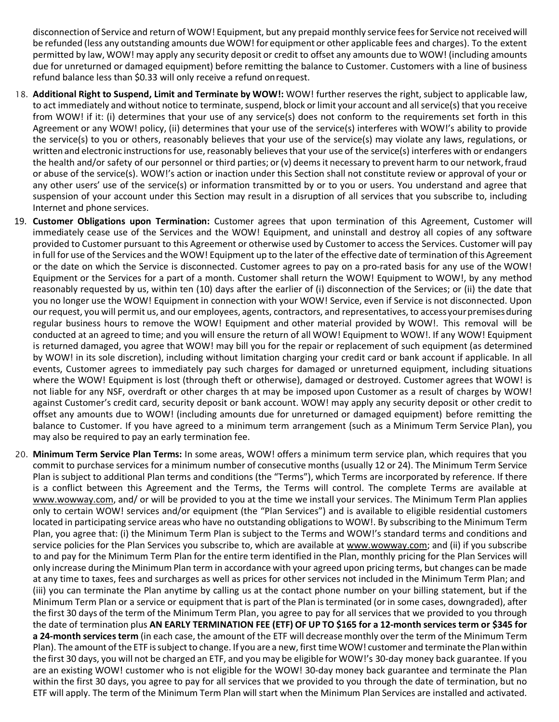disconnection of Service and return of WOW! Equipment, but any prepaid monthly service feesfor Service not receivedwill be refunded (less any outstanding amounts due WOW! for equipment or other applicable fees and charges). To the extent permitted by law, WOW! may apply any security deposit or credit to offset any amounts due to WOW! (including amounts due for unreturned or damaged equipment) before remitting the balance to Customer. Customers with a line of business refund balance less than \$0.33 will only receive a refund onrequest.

- 18. **Additional Right to Suspend, Limit and Terminate by WOW!:** WOW! further reserves the right, subject to applicable law, to act immediately and without notice to terminate, suspend, block or limit your account and all service(s) that you receive from WOW! if it: (i) determines that your use of any service(s) does not conform to the requirements set forth in this Agreement or any WOW! policy, (ii) determines that your use of the service(s) interferes with WOW!'s ability to provide the service(s) to you or others, reasonably believes that your use of the service(s) may violate any laws, regulations, or written and electronic instructions for use, reasonably believes that your use of the service(s) interferes with or endangers the health and/or safety of our personnel or third parties; or (v) deems it necessary to prevent harm to our network, fraud or abuse of the service(s). WOW!'s action or inaction under this Section shall not constitute review or approval of your or any other users' use of the service(s) or information transmitted by or to you or users. You understand and agree that suspension of your account under this Section may result in a disruption of all services that you subscribe to, including Internet and phone services.
- 19. **Customer Obligations upon Termination:** Customer agrees that upon termination of this Agreement, Customer will immediately cease use of the Services and the WOW! Equipment, and uninstall and destroy all copies of any software provided to Customer pursuant to this Agreement or otherwise used by Customer to access the Services. Customer will pay in full for use of the Services and the WOW! Equipment up to the later of the effective date of termination of this Agreement or the date on which the Service is disconnected. Customer agrees to pay on a pro-rated basis for any use of the WOW! Equipment or the Services for a part of a month. Customer shall return the WOW! Equipment to WOW!, by any method reasonably requested by us, within ten (10) days after the earlier of (i) disconnection of the Services; or (ii) the date that you no longer use the WOW! Equipment in connection with your WOW! Service, even if Service is not disconnected. Upon our request, you will permit us, and our employees, agents, contractors, and representatives, to accessyourpremisesduring regular business hours to remove the WOW! Equipment and other material provided by WOW!. This removal will be conducted at an agreed to time; and you will ensure the return of all WOW! Equipment to WOW!. If any WOW! Equipment is returned damaged, you agree that WOW! may bill you for the repair or replacement of such equipment (as determined by WOW! in its sole discretion), including without limitation charging your credit card or bank account if applicable. In all events, Customer agrees to immediately pay such charges for damaged or unreturned equipment, including situations where the WOW! Equipment is lost (through theft or otherwise), damaged or destroyed. Customer agrees that WOW! is not liable for any NSF, overdraft or other charges th at may be imposed upon Customer as a result of charges by WOW! against Customer's credit card, security deposit or bank account. WOW! may apply any security deposit or other credit to offset any amounts due to WOW! (including amounts due for unreturned or damaged equipment) before remitting the balance to Customer. If you have agreed to a minimum term arrangement (such as a Minimum Term Service Plan), you may also be required to pay an early termination fee.
- 20. **Minimum Term Service Plan Terms:** In some areas, WOW! offers a minimum term service plan, which requires that you commit to purchase services for a minimum number of consecutive months (usually 12 or 24). The Minimum Term Service Plan is subject to additional Plan terms and conditions (the "Terms"), which Terms are incorporated by reference. If there is a conflict between this Agreement and the Terms, the Terms will control. The complete Terms are available at [www.wowway.com, a](http://www.wowway.com/)nd/ or will be provided to you at the time we install your services. The Minimum Term Plan applies only to certain WOW! services and/or equipment (the "Plan Services") and is available to eligible residential customers located in participating service areas who have no outstanding obligations to WOW!. By subscribing to the Minimum Term Plan, you agree that: (i) the Minimum Term Plan is subject to the Terms and WOW!'s standard terms and conditions and service policies for the Plan Services you subscribe to, which are available at www.wowway.com; and (ii) if you subscribe to and pay for the Minimum Term Plan for the entire term identified in the Plan, monthly pricing for the Plan Services will only increase during the MinimumPlan term in accordance with your agreed upon pricing terms, but changes can be made at any time to taxes, fees and surcharges as well as prices for other services not included in the Minimum Term Plan; and (iii) you can terminate the Plan anytime by calling us at the contact phone number on your billing statement, but if the Minimum Term Plan or a service or equipment that is part of the Plan is terminated (or in some cases, downgraded), after the first 30 days of the term of the Minimum Term Plan, you agree to pay for all services that we provided to you through the date of termination plus AN EARLY TERMINATION FEE (ETF) OF UP TO \$165 for a 12-month services term or \$345 for **a 24-month servicesterm** (in each case, the amount of the ETF will decreasemonthly overthe term of the Minimum Term Plan). The amount of the ETF is subject to change. If you are a new, first time WOW! customer and terminate the Plan within the first 30 days, you will not be charged an ETF, and you may be eligible for WOW!'s 30-day money back guarantee. If you are an existing WOW! customer who is not eligible for the WOW! 30-day money back guarantee and terminate the Plan within the first 30 days, you agree to pay for all services that we provided to you through the date of termination, but no ETF will apply. The term of the Minimum Term Plan will start when the Minimum Plan Services are installed and activated.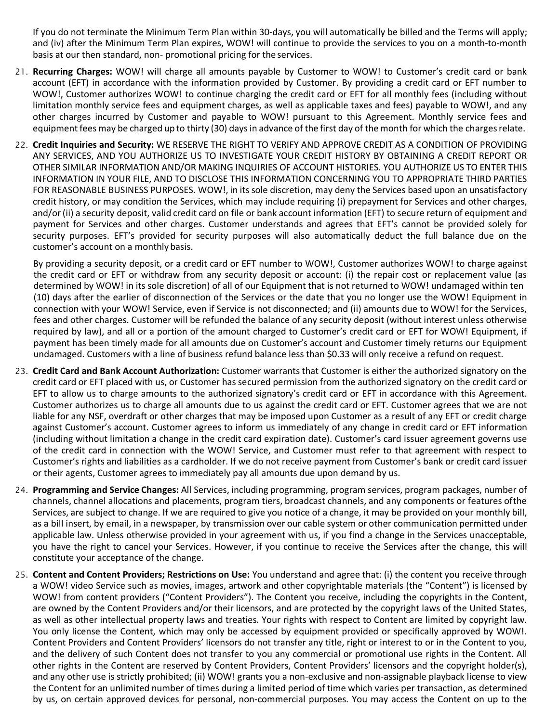If you do not terminate the Minimum Term Plan within 30-days, you will automatically be billed and the Terms will apply; and (iv) after the Minimum Term Plan expires, WOW! will continue to provide the services to you on a month-to-month basis at our then standard, non- promotional pricing for the services.

- 21. **Recurring Charges:** WOW! will charge all amounts payable by Customer to WOW! to Customer's credit card or bank account (EFT) in accordance with the information provided by Customer. By providing a credit card or EFT number to WOW!, Customer authorizes WOW! to continue charging the credit card or EFT for all monthly fees (including without limitation monthly service fees and equipment charges, as well as applicable taxes and fees) payable to WOW!, and any other charges incurred by Customer and payable to WOW! pursuant to this Agreement. Monthly service fees and equipment fees may be charged up to thirty (30) days in advance of the first day of the month for which the charges relate.
- 22. **Credit Inquiries and Security:** WE RESERVE THE RIGHT TO VERIFY AND APPROVE CREDIT AS A CONDITION OF PROVIDING ANY SERVICES, AND YOU AUTHORIZE US TO INVESTIGATE YOUR CREDIT HISTORY BY OBTAINING A CREDIT REPORT OR OTHER SIMILAR INFORMATION AND/OR MAKING INQUIRIES OF ACCOUNT HISTORIES. YOU AUTHORIZE US TO ENTER THIS INFORMATION IN YOUR FILE, AND TO DISCLOSE THIS INFORMATION CONCERNING YOU TO APPROPRIATE THIRD PARTIES FOR REASONABLE BUSINESS PURPOSES. WOW!, in its sole discretion, may deny the Services based upon an unsatisfactory credit history, or may condition the Services, which may include requiring (i) prepayment for Services and other charges, and/or (ii) a security deposit, valid credit card on file or bank account information (EFT) to secure return of equipment and payment for Services and other charges. Customer understands and agrees that EFT's cannot be provided solely for security purposes. EFT's provided for security purposes will also automatically deduct the full balance due on the customer's account on a monthly basis.

By providing a security deposit, or a credit card or EFT number to WOW!, Customer authorizes WOW! to charge against the credit card or EFT or withdraw from any security deposit or account: (i) the repair cost or replacement value (as determined by WOW! in its sole discretion) of all of our Equipment that is not returned to WOW! undamaged within ten (10) days after the earlier of disconnection of the Services or the date that you no longer use the WOW! Equipment in connection with your WOW! Service, even if Service is not disconnected; and (ii) amounts due to WOW! for the Services, fees and other charges. Customer will be refunded the balance of any security deposit (without interest unless otherwise required by law), and all or a portion of the amount charged to Customer's credit card or EFT for WOW! Equipment, if payment has been timely made for all amounts due on Customer's account and Customer timely returns our Equipment undamaged. Customers with a line of business refund balance less than \$0.33 will only receive a refund on request.

- 23. **Credit Card and Bank Account Authorization:** Customer warrants that Customer is either the authorized signatory on the credit card or EFT placed with us, or Customer has secured permission from the authorized signatory on the credit card or EFT to allow us to charge amounts to the authorized signatory's credit card or EFT in accordance with this Agreement. Customer authorizes us to charge all amounts due to us against the credit card or EFT. Customer agrees that we are not liable for any NSF, overdraft or other charges that may be imposed upon Customer as a result of any EFT or credit charge against Customer's account. Customer agrees to inform us immediately of any change in credit card or EFT information (including without limitation a change in the credit card expiration date). Customer's card issuer agreement governs use of the credit card in connection with the WOW! Service, and Customer must refer to that agreement with respect to Customer's rights and liabilities as a cardholder. If we do not receive payment from Customer's bank or credit card issuer or their agents, Customer agrees to immediately pay all amounts due upon demand by us.
- 24. **Programming and Service Changes:** All Services, including programming, program services, program packages, number of channels, channel allocations and placements, program tiers, broadcast channels, and any components or features ofthe Services, are subject to change. If we are required to give you notice of a change, it may be provided on your monthly bill, as a bill insert, by email, in a newspaper, by transmission over our cable system or other communication permitted under applicable law. Unless otherwise provided in your agreement with us, if you find a change in the Services unacceptable, you have the right to cancel your Services. However, if you continue to receive the Services after the change, this will constitute your acceptance of the change.
- 25. **Content and Content Providers; Restrictions on Use:** You understand and agree that: (i) the content you receive through a WOW! video Service such as movies, images, artwork and other copyrightable materials (the "Content") is licensed by WOW! from content providers ("Content Providers"). The Content you receive, including the copyrights in the Content, are owned by the Content Providers and/or their licensors, and are protected by the copyright laws of the United States, as well as other intellectual property laws and treaties. Your rights with respect to Content are limited by copyright law. You only license the Content, which may only be accessed by equipment provided or specifically approved by WOW!. Content Providers and Content Providers' licensors do not transfer any title, right or interest to or in the Content to you, and the delivery of such Content does not transfer to you any commercial or promotional use rights in the Content. All other rights in the Content are reserved by Content Providers, Content Providers' licensors and the copyright holder(s), and any other use is strictly prohibited; (ii) WOW! grants you a non-exclusive and non-assignable playback license to view the Content for an unlimited number of times during a limited period of time which varies per transaction, as determined by us, on certain approved devices for personal, non-commercial purposes. You may access the Content on up to the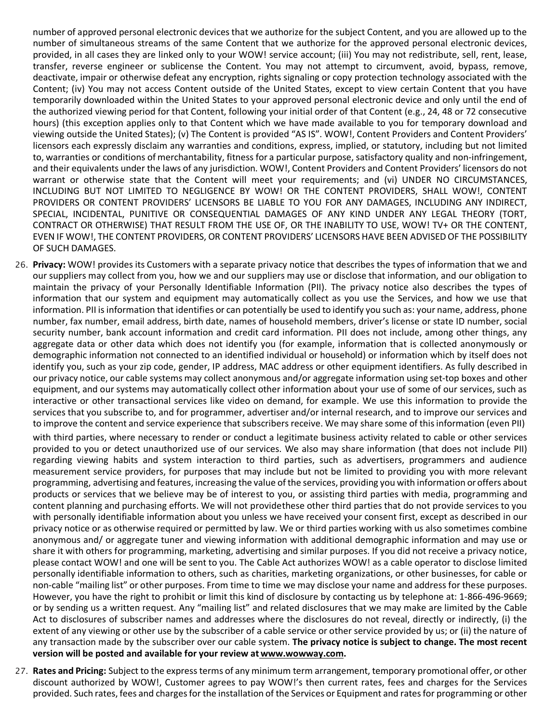number of approved personal electronic devices that we authorize for the subject Content, and you are allowed up to the number of simultaneous streams of the same Content that we authorize for the approved personal electronic devices, provided, in all cases they are linked only to your WOW! service account; (iii) You may not redistribute, sell, rent, lease, transfer, reverse engineer or sublicense the Content. You may not attempt to circumvent, avoid, bypass, remove, deactivate, impair or otherwise defeat any encryption, rights signaling or copy protection technology associated with the Content; (iv) You may not access Content outside of the United States, except to view certain Content that you have temporarily downloaded within the United States to your approved personal electronic device and only until the end of the authorized viewing period for that Content, following your initial order of that Content (e.g., 24, 48 or 72 consecutive hours) (this exception applies only to that Content which we have made available to you for temporary download and viewing outside the United States); (v) The Content is provided "AS IS". WOW!, Content Providers and Content Providers' licensors each expressly disclaim any warranties and conditions, express, implied, or statutory, including but not limited to, warranties or conditions of merchantability, fitness for a particular purpose, satisfactory quality and non-infringement, and their equivalents under the laws of any jurisdiction. WOW!, Content Providers and Content Providers' licensors do not warrant or otherwise state that the Content will meet your requirements; and (vi) UNDER NO CIRCUMSTANCES, INCLUDING BUT NOT LIMITED TO NEGLIGENCE BY WOW! OR THE CONTENT PROVIDERS, SHALL WOW!, CONTENT PROVIDERS OR CONTENT PROVIDERS' LICENSORS BE LIABLE TO YOU FOR ANY DAMAGES, INCLUDING ANY INDIRECT, SPECIAL, INCIDENTAL, PUNITIVE OR CONSEQUENTIAL DAMAGES OF ANY KIND UNDER ANY LEGAL THEORY (TORT, CONTRACT OR OTHERWISE) THAT RESULT FROM THE USE OF, OR THE INABILITY TO USE, WOW! TV+ OR THE CONTENT, EVEN IF WOW!, THE CONTENT PROVIDERS, OR CONTENT PROVIDERS' LICENSORS HAVE BEEN ADVISED OF THE POSSIBILITY OF SUCH DAMAGES.

26. **Privacy:** WOW! provides its Customers with a separate privacy notice that describes the types of information that we and our suppliers may collect from you, how we and our suppliers may use or disclose that information, and our obligation to maintain the privacy of your Personally Identifiable Information (PII). The privacy notice also describes the types of information that our system and equipment may automatically collect as you use the Services, and how we use that information. PII is information that identifies or can potentially be used to identify you such as: your name, address, phone number, fax number, email address, birth date, names of household members, driver's license or state ID number, social security number, bank account information and credit card information. PII does not include, among other things, any aggregate data or other data which does not identify you (for example, information that is collected anonymously or demographic information not connected to an identified individual or household) or information which by itself does not identify you, such as your zip code, gender, IP address, MAC address or other equipment identifiers. As fully described in our privacy notice, our cable systems may collect anonymous and/or aggregate information using set-top boxes and other equipment, and our systems may automatically collect other information about your use of some of our services, such as interactive or other transactional services like video on demand, for example. We use this information to provide the services that you subscribe to, and for programmer, advertiser and/or internal research, and to improve our services and to improve the content and service experience that subscribers receive. We may share some of this information (even PII)

with third parties, where necessary to render or conduct a legitimate business activity related to cable or other services provided to you or detect unauthorized use of our services. We also may share information (that does not include PII) regarding viewing habits and system interaction to third parties, such as advertisers, programmers and audience measurement service providers, for purposes that may include but not be limited to providing you with more relevant programming, advertising and features, increasing the value of the services, providing you with information oroffers about products or services that we believe may be of interest to you, or assisting third parties with media, programming and content planning and purchasing efforts. We will not providethese other third parties that do not provide services to you with personally identifiable information about you unless we have received your consent first, except as described in our privacy notice or as otherwise required or permitted by law. We or third parties working with us also sometimes combine anonymous and/ or aggregate tuner and viewing information with additional demographic information and may use or share it with others for programming, marketing, advertising and similar purposes. If you did not receive a privacy notice, please contact WOW! and one will be sent to you. The Cable Act authorizes WOW! as a cable operator to disclose limited personally identifiable information to others, such as charities, marketing organizations, or other businesses, for cable or non-cable "mailing list" or other purposes. From time to time we may disclose your name and address for these purposes. However, you have the right to prohibit or limit this kind of disclosure by contacting us by telephone at: 1-866-496-9669; or by sending us a written request. Any "mailing list" and related disclosures that we may make are limited by the Cable Act to disclosures of subscriber names and addresses where the disclosures do not reveal, directly or indirectly, (i) the extent of any viewing or other use by the subscriber of a cable service or other service provided by us; or (ii) the nature of any transaction made by the subscriber over our cable system. **The privacy notice is subject to change. The most recent version will be posted and available for your review at [www.wowway.com.](http://www.wowway.com/)**

27. **Rates and Pricing:** Subject to the express terms of any minimum term arrangement, temporary promotional offer, or other discount authorized by WOW!, Customer agrees to pay WOW!'s then current rates, fees and charges for the Services provided. Such rates, fees and charges for the installation of the Services or Equipment and rates for programming or other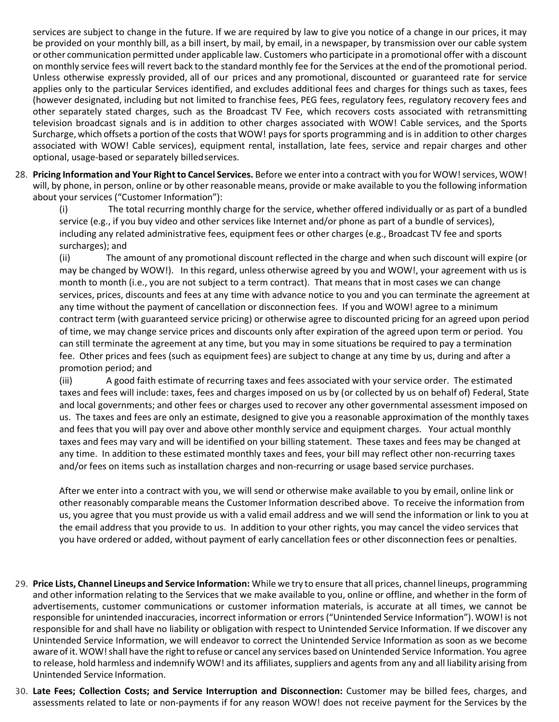services are subject to change in the future. If we are required by law to give you notice of a change in our prices, it may be provided on your monthly bill, as a bill insert, by mail, by email, in a newspaper, by transmission over our cable system or other communication permitted under applicable law. Customers who participate in a promotional offer with a discount on monthly service fees will revert back to the standard monthly fee for the Services atthe end of the promotional period. Unless otherwise expressly provided, all of our prices and any promotional, discounted or guaranteed rate for service applies only to the particular Services identified, and excludes additional fees and charges for things such as taxes, fees (however designated, including but not limited to franchise fees, PEG fees, regulatory fees, regulatory recovery fees and other separately stated charges, such as the Broadcast TV Fee, which recovers costs associated with retransmitting television broadcast signals and is in addition to other charges associated with WOW! Cable services, and the Sports Surcharge, which offsets a portion of the costs that WOW! pays for sports programming and is in addition to other charges associated with WOW! Cable services), equipment rental, installation, late fees, service and repair charges and other optional, usage-based or separately billedservices.

28. **Pricing Information and Your Right to Cancel Services.** Before we enter into a contract with you for WOW! services, WOW! will, by phone, in person, online or by other reasonable means, provide or make available to you the following information about your services ("Customer Information"):

(i) The total recurring monthly charge for the service, whether offered individually or as part of a bundled service (e.g., if you buy video and other services like Internet and/or phone as part of a bundle of services), including any related administrative fees, equipment fees or other charges (e.g., Broadcast TV fee and sports surcharges); and

(ii) The amount of any promotional discount reflected in the charge and when such discount will expire (or may be changed by WOW!). In this regard, unless otherwise agreed by you and WOW!, your agreement with us is month to month (i.e., you are not subject to a term contract). That means that in most cases we can change services, prices, discounts and fees at any time with advance notice to you and you can terminate the agreement at any time without the payment of cancellation or disconnection fees. If you and WOW! agree to a minimum contract term (with guaranteed service pricing) or otherwise agree to discounted pricing for an agreed upon period of time, we may change service prices and discounts only after expiration of the agreed upon term or period. You can still terminate the agreement at any time, but you may in some situations be required to pay a termination fee. Other prices and fees (such as equipment fees) are subject to change at any time by us, during and after a promotion period; and

(iii) A good faith estimate of recurring taxes and fees associated with your service order. The estimated taxes and fees will include: taxes, fees and charges imposed on us by (or collected by us on behalf of) Federal, State and local governments; and other fees or charges used to recover any other governmental assessment imposed on us. The taxes and fees are only an estimate, designed to give you a reasonable approximation of the monthly taxes and fees that you will pay over and above other monthly service and equipment charges. Your actual monthly taxes and fees may vary and will be identified on your billing statement. These taxes and fees may be changed at any time. In addition to these estimated monthly taxes and fees, your bill may reflect other non-recurring taxes and/or fees on items such as installation charges and non-recurring or usage based service purchases.

After we enter into a contract with you, we will send or otherwise make available to you by email, online link or other reasonably comparable means the Customer Information described above. To receive the information from us, you agree that you must provide us with a valid email address and we will send the information or link to you at the email address that you provide to us. In addition to your other rights, you may cancel the video services that you have ordered or added, without payment of early cancellation fees or other disconnection fees or penalties.

- 29. **Price Lists, Channel Lineups and Service Information:** While we try to ensure that all prices, channel lineups, programming and other information relating to the Services that we make available to you, online or offline, and whether in the form of advertisements, customer communications or customer information materials, is accurate at all times, we cannot be responsible for unintended inaccuracies, incorrect information or errors ("Unintended Service Information"). WOW! is not responsible for and shall have no liability or obligation with respect to Unintended Service Information. If we discover any Unintended Service Information, we will endeavor to correct the Unintended Service Information as soon as we become aware of it. WOW! shall have the right to refuse or cancel any services based on Unintended Service Information. You agree to release, hold harmless and indemnify WOW! and its affiliates, suppliers and agents from any and all liability arising from Unintended Service Information.
- 30. **Late Fees; Collection Costs; and Service Interruption and Disconnection:** Customer may be billed fees, charges, and assessments related to late or non-payments if for any reason WOW! does not receive payment for the Services by the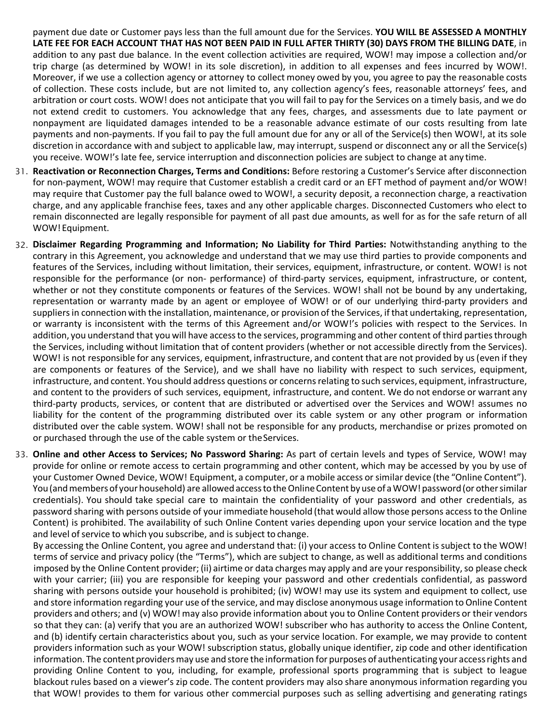payment due date or Customer pays less than the full amount due for the Services. **YOU WILL BE ASSESSED A MONTHLY LATE FEE FOR EACH ACCOUNT THAT HAS NOT BEEN PAID IN FULL AFTER THIRTY (30) DAYS FROM THE BILLING DATE**, in addition to any past due balance. In the event collection activities are required, WOW! may impose a collection and/or trip charge (as determined by WOW! in its sole discretion), in addition to all expenses and fees incurred by WOW!. Moreover, if we use a collection agency or attorney to collect money owed by you, you agree to pay the reasonable costs of collection. These costs include, but are not limited to, any collection agency's fees, reasonable attorneys' fees, and arbitration or court costs. WOW! does not anticipate that you will fail to pay for the Services on a timely basis, and we do not extend credit to customers. You acknowledge that any fees, charges, and assessments due to late payment or nonpayment are liquidated damages intended to be a reasonable advance estimate of our costs resulting from late payments and non-payments. If you fail to pay the full amount due for any or all of the Service(s) then WOW!, at its sole discretion in accordance with and subject to applicable law, may interrupt, suspend or disconnect any or all the Service(s) you receive. WOW!'s late fee, service interruption and disconnection policies are subject to change at any time.

- 31. **Reactivation or Reconnection Charges, Terms and Conditions:** Before restoring a Customer's Service after disconnection for non-payment, WOW! may require that Customer establish a credit card or an EFT method of payment and/or WOW! may require that Customer pay the full balance owed to WOW!, a security deposit, a reconnection charge, a reactivation charge, and any applicable franchise fees, taxes and any other applicable charges. Disconnected Customers who elect to remain disconnected are legally responsible for payment of all past due amounts, as well for as for the safe return of all WOW! Equipment.
- 32. **Disclaimer Regarding Programming and Information; No Liability for Third Parties:** Notwithstanding anything to the contrary in this Agreement, you acknowledge and understand that we may use third parties to provide components and features of the Services, including without limitation, their services, equipment, infrastructure, or content. WOW! is not responsible for the performance (or non- performance) of third-party services, equipment, infrastructure, or content, whether or not they constitute components or features of the Services. WOW! shall not be bound by any undertaking, representation or warranty made by an agent or employee of WOW! or of our underlying third-party providers and suppliers in connection with the installation, maintenance, or provision of the Services, if that undertaking, representation, or warranty is inconsistent with the terms of this Agreement and/or WOW!'s policies with respect to the Services. In addition, you understand that you will have access to the services, programming and other content of third parties through the Services, including without limitation that of content providers (whether or not accessible directly from the Services). WOW! is not responsible for any services, equipment, infrastructure, and content that are not provided by us(even if they are components or features of the Service), and we shall have no liability with respect to such services, equipment, infrastructure, and content. You should address questions or concerns relating to such services, equipment, infrastructure, and content to the providers of such services, equipment, infrastructure, and content. We do not endorse or warrant any third-party products, services, or content that are distributed or advertised over the Services and WOW! assumes no liability for the content of the programming distributed over its cable system or any other program or information distributed over the cable system. WOW! shall not be responsible for any products, merchandise or prizes promoted on or purchased through the use of the cable system or theServices.
- 33. **Online and other Access to Services; No Password Sharing:** As part of certain levels and types of Service, WOW! may provide for online or remote access to certain programming and other content, which may be accessed by you by use of your Customer Owned Device, WOW! Equipment, a computer, or a mobile access orsimilar device (the "Online Content"). You(andmembersof yourhousehold) are allowedaccesstotheOnlineContent by use of aWOW!password(or othersimilar credentials). You should take special care to maintain the confidentiality of your password and other credentials, as password sharing with persons outside of your immediate household (that would allow those persons access to the Online Content) is prohibited. The availability of such Online Content varies depending upon your service location and the type and level of service to which you subscribe, and is subject to change.

By accessing the Online Content, you agree and understand that: (i) your access to Online Content is subject to the WOW! terms of service and privacy policy (the "Terms"), which are subject to change, as well as additional terms and conditions imposed by the Online Content provider; (ii) airtime or data charges may apply and are your responsibility, so please check with your carrier; (iii) you are responsible for keeping your password and other credentials confidential, as password sharing with persons outside your household is prohibited; (iv) WOW! may use its system and equipment to collect, use and store information regarding your use of the service, and may disclose anonymous usage information to Online Content providers and others; and (v) WOW! may also provide information about you to Online Content providers or their vendors so that they can: (a) verify that you are an authorized WOW! subscriber who has authority to access the Online Content, and (b) identify certain characteristics about you, such as your service location. For example, we may provide to content providers information such as your WOW! subscription status, globally unique identifier, zip code and other identification information. The content providers may use and store the information for purposes of authenticating your access rights and providing Online Content to you, including, for example, professional sports programming that is subject to league blackout rules based on a viewer's zip code. The content providers may also share anonymous information regarding you that WOW! provides to them for various other commercial purposes such as selling advertising and generating ratings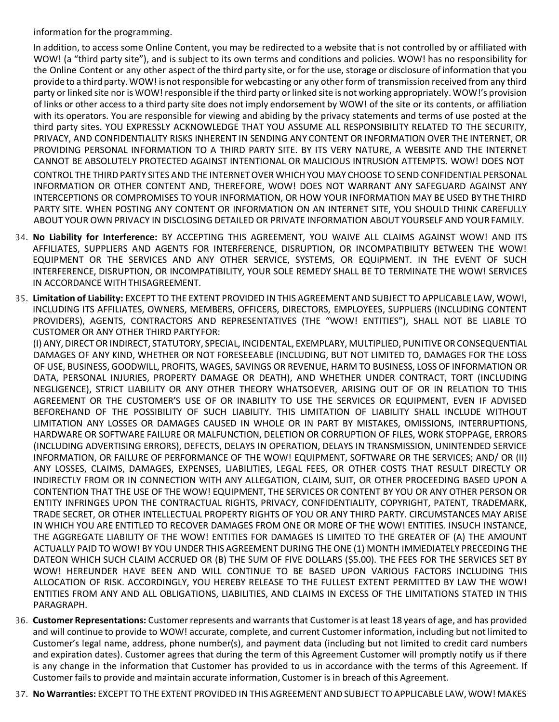information for the programming.

In addition, to access some Online Content, you may be redirected to a website that is not controlled by or affiliated with WOW! (a "third party site"), and is subject to its own terms and conditions and policies. WOW! has no responsibility for the Online Content or any other aspect of the third party site, or for the use, storage or disclosure of information that you provide to a third party. WOW! is not responsible for webcasting or any other form of transmission received from any third party or linked site nor is WOW! responsible if the third party orlinked site is not working appropriately. WOW!'s provision of links or other access to a third party site does not imply endorsement by WOW! of the site or its contents, or affiliation with its operators. You are responsible for viewing and abiding by the privacy statements and terms of use posted at the third party sites. YOU EXPRESSLY ACKNOWLEDGE THAT YOU ASSUME ALL RESPONSIBILITY RELATED TO THE SECURITY, PRIVACY, AND CONFIDENTIALITY RISKS INHERENT IN SENDING ANY CONTENT OR INFORMATION OVER THE INTERNET, OR PROVIDING PERSONAL INFORMATION TO A THIRD PARTY SITE. BY ITS VERY NATURE, A WEBSITE AND THE INTERNET CANNOT BE ABSOLUTELY PROTECTED AGAINST INTENTIONAL OR MALICIOUS INTRUSION ATTEMPTS. WOW! DOES NOT CONTROL THE THIRD PARTY SITES AND THE INTERNETOVER WHICH YOU MAY CHOOSE TOSEND CONFIDENTIAL PERSONAL INFORMATION OR OTHER CONTENT AND, THEREFORE, WOW! DOES NOT WARRANT ANY SAFEGUARD AGAINST ANY INTERCEPTIONS OR COMPROMISES TO YOUR INFORMATION, OR HOW YOUR INFORMATION MAY BE USED BY THE THIRD PARTY SITE. WHEN POSTING ANY CONTENT OR INFORMATION ON AN INTERNET SITE, YOU SHOULD THINK CAREFULLY ABOUT YOUR OWN PRIVACY IN DISCLOSING DETAILED OR PRIVATE INFORMATION ABOUT YOURSELF AND YOURFAMILY.

- 34. **No Liability for Interference:** BY ACCEPTING THIS AGREEMENT, YOU WAIVE ALL CLAIMS AGAINST WOW! AND ITS AFFILIATES, SUPPLIERS AND AGENTS FOR INTERFERENCE, DISRUPTION, OR INCOMPATIBILITY BETWEEN THE WOW! EQUIPMENT OR THE SERVICES AND ANY OTHER SERVICE, SYSTEMS, OR EQUIPMENT. IN THE EVENT OF SUCH INTERFERENCE, DISRUPTION, OR INCOMPATIBILITY, YOUR SOLE REMEDY SHALL BE TO TERMINATE THE WOW! SERVICES IN ACCORDANCE WITH THISAGREEMENT.
- 35. **Limitation of Liability:** EXCEPT TO THE EXTENT PROVIDED IN THIS AGREEMENT AND SUBJECT TO APPLICABLE LAW, WOW!, INCLUDING ITS AFFILIATES, OWNERS, MEMBERS, OFFICERS, DIRECTORS, EMPLOYEES, SUPPLIERS (INCLUDING CONTENT PROVIDERS), AGENTS, CONTRACTORS AND REPRESENTATIVES (THE "WOW! ENTITIES"), SHALL NOT BE LIABLE TO CUSTOMER OR ANY OTHER THIRD PARTYFOR:

(I) ANY,DIRECTOR INDIRECT, STATUTORY, SPECIAL, INCIDENTAL, EXEMPLARY, MULTIPLIED, PUNITIVEOR CONSEQUENTIAL DAMAGES OF ANY KIND, WHETHER OR NOT FORESEEABLE (INCLUDING, BUT NOT LIMITED TO, DAMAGES FOR THE LOSS OF USE, BUSINESS, GOODWILL, PROFITS, WAGES, SAVINGS OR REVENUE, HARM TO BUSINESS, LOSS OF INFORMATION OR DATA, PERSONAL INJURIES, PROPERTY DAMAGE OR DEATH), AND WHETHER UNDER CONTRACT, TORT (INCLUDING NEGLIGENCE), STRICT LIABILITY OR ANY OTHER THEORY WHATSOEVER, ARISING OUT OF OR IN RELATION TO THIS AGREEMENT OR THE CUSTOMER'S USE OF OR INABILITY TO USE THE SERVICES OR EQUIPMENT, EVEN IF ADVISED BEFOREHAND OF THE POSSIBILITY OF SUCH LIABILITY. THIS LIMITATION OF LIABILITY SHALL INCLUDE WITHOUT LIMITATION ANY LOSSES OR DAMAGES CAUSED IN WHOLE OR IN PART BY MISTAKES, OMISSIONS, INTERRUPTIONS, HARDWARE OR SOFTWARE FAILURE OR MALFUNCTION, DELETION OR CORRUPTION OF FILES, WORK STOPPAGE, ERRORS (INCLUDING ADVERTISING ERRORS), DEFECTS, DELAYS IN OPERATION, DELAYS IN TRANSMISSION, UNINTENDED SERVICE INFORMATION, OR FAILURE OF PERFORMANCE OF THE WOW! EQUIPMENT, SOFTWARE OR THE SERVICES; AND/ OR (II) ANY LOSSES, CLAIMS, DAMAGES, EXPENSES, LIABILITIES, LEGAL FEES, OR OTHER COSTS THAT RESULT DIRECTLY OR INDIRECTLY FROM OR IN CONNECTION WITH ANY ALLEGATION, CLAIM, SUIT, OR OTHER PROCEEDING BASED UPON A CONTENTION THAT THE USE OF THE WOW! EQUIPMENT, THE SERVICES OR CONTENT BY YOU OR ANY OTHER PERSON OR ENTITY INFRINGES UPON THE CONTRACTUAL RIGHTS, PRIVACY, CONFIDENTIALITY, COPYRIGHT, PATENT, TRADEMARK, TRADE SECRET, OR OTHER INTELLECTUAL PROPERTY RIGHTS OF YOU OR ANY THIRD PARTY. CIRCUMSTANCES MAY ARISE IN WHICH YOU ARE ENTITLED TO RECOVER DAMAGES FROM ONE OR MORE OF THE WOW! ENTITIES. INSUCH INSTANCE, THE AGGREGATE LIABILITY OF THE WOW! ENTITIES FOR DAMAGES IS LIMITED TO THE GREATER OF (A) THE AMOUNT ACTUALLY PAID TO WOW! BY YOU UNDER THIS AGREEMENT DURING THE ONE (1) MONTH IMMEDIATELY PRECEDING THE DATEON WHICH SUCH CLAIM ACCRUED OR (B) THE SUM OF FIVE DOLLARS (\$5.00). THE FEES FOR THE SERVICES SET BY WOW! HEREUNDER HAVE BEEN AND WILL CONTINUE TO BE BASED UPON VARIOUS FACTORS INCLUDING THIS ALLOCATION OF RISK. ACCORDINGLY, YOU HEREBY RELEASE TO THE FULLEST EXTENT PERMITTED BY LAW THE WOW! ENTITIES FROM ANY AND ALL OBLIGATIONS, LIABILITIES, AND CLAIMS IN EXCESS OF THE LIMITATIONS STATED IN THIS PARAGRAPH.

- 36. **Customer Representations:** Customerrepresents and warrants that Customeris at least 18 years of age, and has provided and will continue to provide to WOW! accurate, complete, and current Customer information, including but not limited to Customer's legal name, address, phone number(s), and payment data (including but not limited to credit card numbers and expiration dates). Customer agrees that during the term of this Agreement Customer will promptly notify us if there is any change in the information that Customer has provided to us in accordance with the terms of this Agreement. If Customer fails to provide and maintain accurate information, Customer is in breach of this Agreement.
- 37. **No Warranties:** EXCEPT TOTHE EXTENT PROVIDED IN THIS AGREEMENT AND SUBJECT TOAPPLICABLE LAW, WOW! MAKES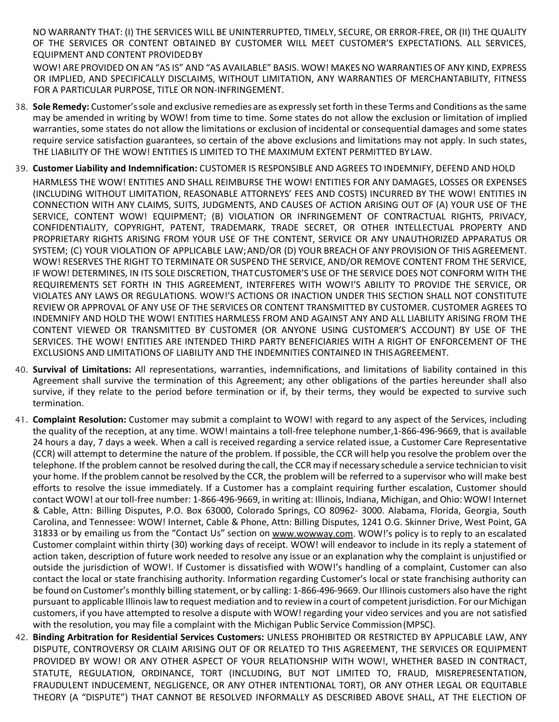NO WARRANTY THAT: (I) THE SERVICES WILL BE UNINTERRUPTED, TIMELY, SECURE, OR ERROR-FREE, OR (II) THE QUALITY OF THE SERVICES OR CONTENT OBTAINED BY CUSTOMER WILL MEET CUSTOMER'S EXPECTATIONS. ALL SERVICES, EQUIPMENT AND CONTENT PROVIDEDBY

WOW! ARE PROVIDED ON AN "AS IS" AND "AS AVAILABLE" BASIS. WOW! MAKES NO WARRANTIES OF ANY KIND, EXPRESS OR IMPLIED, AND SPECIFICALLY DISCLAIMS, WITHOUT LIMITATION, ANY WARRANTIES OF MERCHANTABILITY, FITNESS FOR A PARTICULAR PURPOSE, TITLE OR NON-INFRINGEMENT.

- 38. **Sole Remedy:** Customer'ssole and exclusive remedies are as expressly set forth in these Terms and Conditions as the same may be amended in writing by WOW! from time to time. Some states do not allow the exclusion or limitation of implied warranties, some states do not allow the limitations or exclusion of incidental or consequential damages and some states require service satisfaction guarantees, so certain of the above exclusions and limitations may not apply. In such states, THE LIABILITY OF THE WOW! ENTITIES IS LIMITED TO THE MAXIMUM EXTENT PERMITTED BY LAW.
- 39. **Customer Liability and Indemnification:** CUSTOMER IS RESPONSIBLE AND AGREES TO INDEMNIFY, DEFEND AND HOLD

HARMLESS THE WOW! ENTITIES AND SHALL REIMBURSE THE WOW! ENTITIES FOR ANY DAMAGES, LOSSES OR EXPENSES (INCLUDING WITHOUT LIMITATION, REASONABLE ATTORNEYS' FEES AND COSTS) INCURRED BY THE WOW! ENTITIES IN CONNECTION WITH ANY CLAIMS, SUITS, JUDGMENTS, AND CAUSES OF ACTION ARISING OUT OF (A) YOUR USE OF THE SERVICE, CONTENT WOW! EQUIPMENT; (B) VIOLATION OR INFRINGEMENT OF CONTRACTUAL RIGHTS, PRIVACY, CONFIDENTIALITY, COPYRIGHT, PATENT, TRADEMARK, TRADE SECRET, OR OTHER INTELLECTUAL PROPERTY AND PROPRIETARY RIGHTS ARISING FROM YOUR USE OF THE CONTENT, SERVICE OR ANY UNAUTHORIZED APPARATUS OR SYSTEM; (C) YOUR VIOLATION OF APPLICABLE LAW;AND/OR (D) YOUR BREACH OF ANY PROVISION OF THIS AGREEMENT. WOW! RESERVES THE RIGHT TO TERMINATE OR SUSPEND THE SERVICE, AND/OR REMOVE CONTENT FROM THE SERVICE, IF WOW! DETERMINES, IN ITS SOLE DISCRETION, THATCUSTOMER'S USE OF THE SERVICE DOES NOT CONFORM WITH THE REQUIREMENTS SET FORTH IN THIS AGREEMENT, INTERFERES WITH WOW!'S ABILITY TO PROVIDE THE SERVICE, OR VIOLATES ANY LAWS OR REGULATIONS. WOW!'S ACTIONS OR INACTION UNDER THIS SECTION SHALL NOT CONSTITUTE REVIEW OR APPROVAL OF ANY USE OF THE SERVICES OR CONTENT TRANSMITTED BY CUSTOMER. CUSTOMER AGREES TO INDEMNIFY AND HOLD THE WOW! ENTITIES HARMLESS FROM AND AGAINST ANY AND ALL LIABILITY ARISING FROM THE CONTENT VIEWED OR TRANSMITTED BY CUSTOMER (OR ANYONE USING CUSTOMER'S ACCOUNT) BY USE OF THE SERVICES. THE WOW! ENTITIES ARE INTENDED THIRD PARTY BENEFICIARIES WITH A RIGHT OF ENFORCEMENT OF THE EXCLUSIONS AND LIMITATIONS OF LIABILITY AND THE INDEMNITIES CONTAINED IN THISAGREEMENT.

- 40. **Survival of Limitations:** All representations, warranties, indemnifications, and limitations of liability contained in this Agreement shall survive the termination of this Agreement; any other obligations of the parties hereunder shall also survive, if they relate to the period before termination or if, by their terms, they would be expected to survive such termination.
- 41. **Complaint Resolution:** Customer may submit a complaint to WOW! with regard to any aspect of the Services, including the quality of the reception, at any time. WOW! maintains a toll-free telephone number,1-866-496-9669, that is available 24 hours a day, 7 days a week. When a call is received regarding a service related issue, a Customer Care Representative (CCR) will attempt to determine the nature of the problem. If possible, the CCR will help you resolve the problem over the telephone. If the problem cannot be resolved during the call, the CCR may if necessary schedule a service technician to visit your home. If the problem cannot be resolved by the CCR, the problem will be referred to a supervisor who will make best efforts to resolve the issue immediately. If a Customer has a complaint requiring further escalation, Customer should contact WOW! at our toll-free number: 1-866-496-9669, in writing at: Illinois, Indiana, Michigan, and Ohio: WOW! Internet & Cable, Attn: Billing Disputes, P.O. Box 63000, Colorado Springs, CO 80962- 3000. Alabama, Florida, Georgia, South Carolina, and Tennessee: WOW! Internet, Cable & Phone, Attn: Billing Disputes, 1241 O.G. Skinner Drive, West Point, GA 31833 or by emailing us from the "Contact Us" section on [www.wo](http://www/)wway.com. WOW!'s policy is to reply to an escalated Customer complaint within thirty (30) working days of receipt. WOW! will endeavor to include in its reply a statement of action taken, description of future work needed to resolve any issue or an explanation why the complaint is unjustified or outside the jurisdiction of WOW!. If Customer is dissatisfied with WOW!'s handling of a complaint, Customer can also contact the local or state franchising authority. Information regarding Customer's local or state franchising authority can be found on Customer's monthly billing statement, or by calling: 1-866-496-9669. Our Illinois customers also have the right pursuant to applicable Illinois law to request mediation and to review in a court of competent jurisdiction. For our Michigan customers, if you have attempted to resolve a dispute with WOW! regarding your video services and you are not satisfied with the resolution, you may file a complaint with the Michigan Public Service Commission(MPSC).
- 42. **Binding Arbitration for Residential Services Customers:** UNLESS PROHIBITED OR RESTRICTED BY APPLICABLE LAW, ANY DISPUTE, CONTROVERSY OR CLAIM ARISING OUT OF OR RELATED TO THIS AGREEMENT, THE SERVICES OR EQUIPMENT PROVIDED BY WOW! OR ANY OTHER ASPECT OF YOUR RELATIONSHIP WITH WOW!, WHETHER BASED IN CONTRACT, STATUTE, REGULATION, ORDINANCE, TORT (INCLUDING, BUT NOT LIMITED TO, FRAUD, MISREPRESENTATION, FRAUDULENT INDUCEMENT, NEGLIGENCE, OR ANY OTHER INTENTIONAL TORT), OR ANY OTHER LEGAL OR EQUITABLE THEORY (A "DISPUTE") THAT CANNOT BE RESOLVED INFORMALLY AS DESCRIBED ABOVE SHALL, AT THE ELECTION OF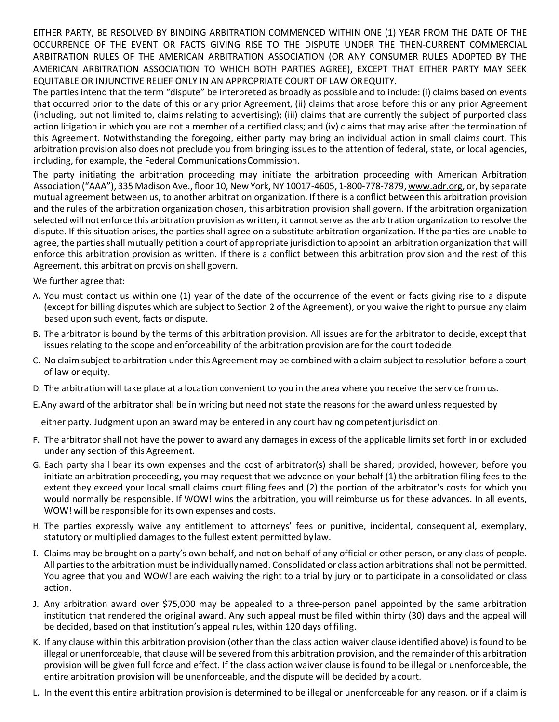EITHER PARTY, BE RESOLVED BY BINDING ARBITRATION COMMENCED WITHIN ONE (1) YEAR FROM THE DATE OF THE OCCURRENCE OF THE EVENT OR FACTS GIVING RISE TO THE DISPUTE UNDER THE THEN-CURRENT COMMERCIAL ARBITRATION RULES OF THE AMERICAN ARBITRATION ASSOCIATION (OR ANY CONSUMER RULES ADOPTED BY THE AMERICAN ARBITRATION ASSOCIATION TO WHICH BOTH PARTIES AGREE), EXCEPT THAT EITHER PARTY MAY SEEK EQUITABLE OR INJUNCTIVE RELIEF ONLY IN AN APPROPRIATE COURT OF LAW OREQUITY.

The parties intend that the term "dispute" be interpreted as broadly as possible and to include: (i) claims based on events that occurred prior to the date of this or any prior Agreement, (ii) claims that arose before this or any prior Agreement (including, but not limited to, claims relating to advertising); (iii) claims that are currently the subject of purported class action litigation in which you are not a member of a certified class; and (iv) claims that may arise after the termination of this Agreement. Notwithstanding the foregoing, either party may bring an individual action in small claims court. This arbitration provision also does not preclude you from bringing issues to the attention of federal, state, or local agencies, including, for example, the Federal Communications Commission.

The party initiating the arbitration proceeding may initiate the arbitration proceeding with American Arbitration Association ("AAA"), 335 Madison Ave., floor 10, New York, NY 10017-4605, 1-800-778-7879, [www.adr.org,](http://www.adr.org/) or, by separate mutual agreement between us, to another arbitration organization. If there is a conflict between this arbitration provision and the rules of the arbitration organization chosen, this arbitration provision shall govern. If the arbitration organization selected will not enforce this arbitration provision as written, it cannot serve as the arbitration organization to resolve the dispute. If this situation arises, the parties shall agree on a substitute arbitration organization. If the parties are unable to agree, the parties shall mutually petition a court of appropriate jurisdiction to appoint an arbitration organization that will enforce this arbitration provision as written. If there is a conflict between this arbitration provision and the rest of this Agreement, this arbitration provision shall govern.

We further agree that:

- A. You must contact us within one (1) year of the date of the occurrence of the event or facts giving rise to a dispute (except for billing disputes which are subject to Section 2 of the Agreement), or you waive the right to pursue any claim based upon such event, facts or dispute.
- B. The arbitrator is bound by the terms of this arbitration provision. All issues are for the arbitrator to decide, except that issues relating to the scope and enforceability of the arbitration provision are for the court todecide.
- C. No claim subject to arbitration under this Agreement may be combined with a claim subject to resolution before a court of law or equity.
- D. The arbitration will take place at a location convenient to you in the area where you receive the service fromus.
- E.Any award of the arbitrator shall be in writing but need not state the reasons for the award unless requested by

either party. Judgment upon an award may be entered in any court having competentjurisdiction.

- F. The arbitrator shall not have the power to award any damages in excess of the applicable limits set forth in or excluded under any section of this Agreement.
- G. Each party shall bear its own expenses and the cost of arbitrator(s) shall be shared; provided, however, before you initiate an arbitration proceeding, you may request that we advance on your behalf (1) the arbitration filing fees to the extent they exceed your local small claims court filing fees and (2) the portion of the arbitrator's costs for which you would normally be responsible. If WOW! wins the arbitration, you will reimburse us for these advances. In all events, WOW! will be responsible for its own expenses and costs.
- H. The parties expressly waive any entitlement to attorneys' fees or punitive, incidental, consequential, exemplary, statutory or multiplied damages to the fullest extent permitted bylaw.
- I. Claims may be brought on a party's own behalf, and not on behalf of any official or other person, or any class of people. All parties to the arbitration must be individually named. Consolidated or class action arbitrations shall not be permitted. You agree that you and WOW! are each waiving the right to a trial by jury or to participate in a consolidated or class action.
- J. Any arbitration award over \$75,000 may be appealed to a three-person panel appointed by the same arbitration institution that rendered the original award. Any such appeal must be filed within thirty (30) days and the appeal will be decided, based on that institution's appeal rules, within 120 days of filing.
- K. If any clause within this arbitration provision (other than the class action waiver clause identified above) is found to be illegal or unenforceable, that clause will be severed from this arbitration provision, and the remainder of this arbitration provision will be given full force and effect. If the class action waiver clause is found to be illegal or unenforceable, the entire arbitration provision will be unenforceable, and the dispute will be decided by acourt.
- L. In the event this entire arbitration provision is determined to be illegal or unenforceable for any reason, or if a claim is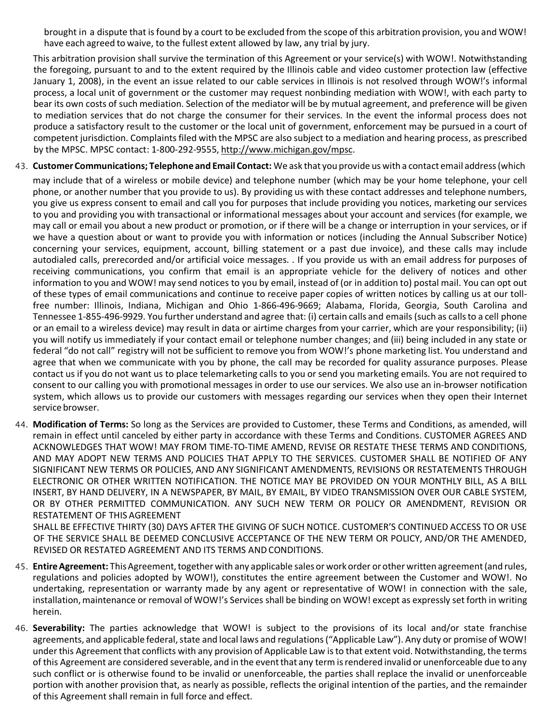brought in a dispute that isfound by a court to be excluded from the scope of this arbitration provision, you and WOW! have each agreed to waive, to the fullest extent allowed by law, any trial by jury.

This arbitration provision shall survive the termination of this Agreement or your service(s) with WOW!. Notwithstanding the foregoing, pursuant to and to the extent required by the Illinois cable and video customer protection law (effective January 1, 2008), in the event an issue related to our cable services in Illinois is not resolved through WOW!'s informal process, a local unit of government or the customer may request nonbinding mediation with WOW!, with each party to bear its own costs of such mediation. Selection of the mediator will be by mutual agreement, and preference will be given to mediation services that do not charge the consumer for their services. In the event the informal process does not produce a satisfactory result to the customer or the local unit of government, enforcement may be pursued in a court of competent jurisdiction. Complaints filed with the MPSC are also subject to a mediation and hearing process, as prescribed by the MPSC. MPSC contact: 1-800-292-9555, [http://www.michigan.gov/mpsc.](http://www.michigan.gov/mpsc)

- 43. **Customer Communications; Telephone and Email Contact:** We ask that you provide us with a contact email address(which may include that of a wireless or mobile device) and telephone number (which may be your home telephone, your cell phone, or another number that you provide to us). By providing us with these contact addresses and telephone numbers, you give us express consent to email and call you for purposes that include providing you notices, marketing our services to you and providing you with transactional or informational messages about your account and services (for example, we may call or email you about a new product or promotion, or if there will be a change or interruption in your services, or if we have a question about or want to provide you with information or notices (including the Annual Subscriber Notice) concerning your services, equipment, account, billing statement or a past due invoice), and these calls may include autodialed calls, prerecorded and/or artificial voice messages. . If you provide us with an email address for purposes of receiving communications, you confirm that email is an appropriate vehicle for the delivery of notices and other information to you and WOW! may send notices to you by email, instead of (or in addition to) postal mail. You can opt out of these types of email communications and continue to receive paper copies of written notices by calling us at our tollfree number: Illinois, Indiana, Michigan and Ohio 1-866-496-9669; Alabama, Florida, Georgia, South Carolina and Tennessee 1-855-496-9929. You further understand and agree that: (i) certain calls and emails (such as callsto a cell phone or an email to a wireless device) may result in data or airtime charges from your carrier, which are your responsibility; (ii) you will notify us immediately if your contact email or telephone number changes; and (iii) being included in any state or federal "do not call" registry will not be sufficient to remove you from WOW!'s phone marketing list. You understand and agree that when we communicate with you by phone, the call may be recorded for quality assurance purposes. Please contact us if you do not want us to place telemarketing calls to you orsend you marketing emails. You are not required to consent to our calling you with promotional messages in order to use our services. We also use an in-browser notification system, which allows us to provide our customers with messages regarding our services when they open their Internet service browser.
- 44. **Modification of Terms:** So long as the Services are provided to Customer, these Terms and Conditions, as amended, will remain in effect until canceled by either party in accordance with these Terms and Conditions. CUSTOMER AGREES AND ACKNOWLEDGES THAT WOW! MAY FROM TIME-TO-TIME AMEND, REVISE OR RESTATE THESE TERMS AND CONDITIONS, AND MAY ADOPT NEW TERMS AND POLICIES THAT APPLY TO THE SERVICES. CUSTOMER SHALL BE NOTIFIED OF ANY SIGNIFICANT NEW TERMS OR POLICIES, AND ANY SIGNIFICANT AMENDMENTS, REVISIONS OR RESTATEMENTS THROUGH ELECTRONIC OR OTHER WRITTEN NOTIFICATION. THE NOTICE MAY BE PROVIDED ON YOUR MONTHLY BILL, AS A BILL INSERT, BY HAND DELIVERY, IN A NEWSPAPER, BY MAIL, BY EMAIL, BY VIDEO TRANSMISSION OVER OUR CABLE SYSTEM, OR BY OTHER PERMITTED COMMUNICATION. ANY SUCH NEW TERM OR POLICY OR AMENDMENT, REVISION OR RESTATEMENT OF THIS AGREEMENT

SHALL BE EFFECTIVE THIRTY (30) DAYS AFTER THE GIVING OF SUCH NOTICE. CUSTOMER'S CONTINUED ACCESS TO OR USE OF THE SERVICE SHALL BE DEEMED CONCLUSIVE ACCEPTANCE OF THE NEW TERM OR POLICY, AND/OR THE AMENDED, REVISED OR RESTATED AGREEMENT AND ITS TERMS AND CONDITIONS.

- 45. Entire Agreement: This Agreement, together with any applicable sales or work order or other written agreement (and rules, regulations and policies adopted by WOW!), constitutes the entire agreement between the Customer and WOW!. No undertaking, representation or warranty made by any agent or representative of WOW! in connection with the sale, installation, maintenance or removal of WOW!'s Services shall be binding on WOW! except as expressly set forth in writing herein.
- 46. **Severability:** The parties acknowledge that WOW! is subject to the provisions of its local and/or state franchise agreements, and applicable federal, state and local laws and regulations ("Applicable Law"). Any duty or promise of WOW! under this Agreement that conflicts with any provision of Applicable Law is to that extent void. Notwithstanding, the terms of this Agreement are considered severable, and in the eventthat any term isrendered invalid or unenforceable due to any such conflict or is otherwise found to be invalid or unenforceable, the parties shall replace the invalid or unenforceable portion with another provision that, as nearly as possible, reflects the original intention of the parties, and the remainder of this Agreement shall remain in full force and effect.